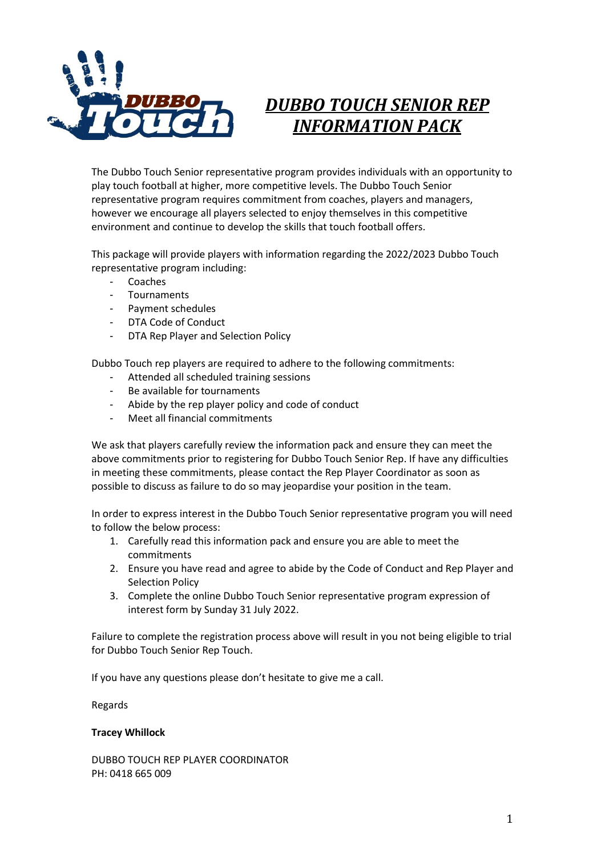

# *DUBBO TOUCH SENIOR REP INFORMATION PACK*

The Dubbo Touch Senior representative program provides individuals with an opportunity to play touch football at higher, more competitive levels. The Dubbo Touch Senior representative program requires commitment from coaches, players and managers, however we encourage all players selected to enjoy themselves in this competitive environment and continue to develop the skills that touch football offers.

This package will provide players with information regarding the 2022/2023 Dubbo Touch representative program including:

- Coaches
- Tournaments
- Payment schedules
- DTA Code of Conduct
- DTA Rep Player and Selection Policy

Dubbo Touch rep players are required to adhere to the following commitments:

- Attended all scheduled training sessions
- Be available for tournaments
- Abide by the rep player policy and code of conduct
- Meet all financial commitments

We ask that players carefully review the information pack and ensure they can meet the above commitments prior to registering for Dubbo Touch Senior Rep. If have any difficulties in meeting these commitments, please contact the Rep Player Coordinator as soon as possible to discuss as failure to do so may jeopardise your position in the team.

In order to express interest in the Dubbo Touch Senior representative program you will need to follow the below process:

- 1. Carefully read this information pack and ensure you are able to meet the commitments
- 2. Ensure you have read and agree to abide by the Code of Conduct and Rep Player and Selection Policy
- 3. Complete the online Dubbo Touch Senior representative program expression of interest form by Sunday 31 July 2022.

Failure to complete the registration process above will result in you not being eligible to trial for Dubbo Touch Senior Rep Touch.

If you have any questions please don't hesitate to give me a call.

Regards

## **Tracey Whillock**

DUBBO TOUCH REP PLAYER COORDINATOR PH: 0418 665 009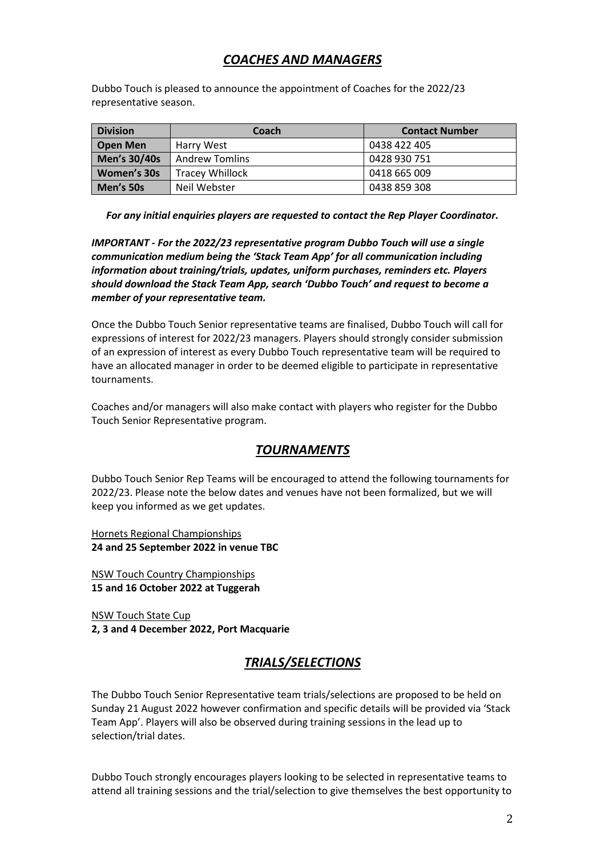# *COACHES AND MANAGERS*

Dubbo Touch is pleased to announce the appointment of Coaches for the 2022/23 representative season.

| <b>Division</b> | Coach                  | <b>Contact Number</b> |
|-----------------|------------------------|-----------------------|
| <b>Open Men</b> | Harry West             | 0438 422 405          |
| Men's 30/40s    | <b>Andrew Tomlins</b>  | 0428 930 751          |
| Women's 30s     | <b>Tracey Whillock</b> | 0418 665 009          |
| Men's 50s       | Neil Webster           | 0438 859 308          |

*For any initial enquiries players are requested to contact the Rep Player Coordinator.*

*IMPORTANT - For the 2022/23 representative program Dubbo Touch will use a single communication medium being the 'Stack Team App' for all communication including information about training/trials, updates, uniform purchases, reminders etc. Players should download the Stack Team App, search 'Dubbo Touch' and request to become a member of your representative team.*

Once the Dubbo Touch Senior representative teams are finalised, Dubbo Touch will call for expressions of interest for 2022/23 managers. Players should strongly consider submission of an expression of interest as every Dubbo Touch representative team will be required to have an allocated manager in order to be deemed eligible to participate in representative tournaments.

Coaches and/or managers will also make contact with players who register for the Dubbo Touch Senior Representative program.

# *TOURNAMENTS*

Dubbo Touch Senior Rep Teams will be encouraged to attend the following tournaments for 2022/23. Please note the below dates and venues have not been formalized, but we will keep you informed as we get updates.

Hornets Regional Championships **24 and 25 September 2022 in venue TBC**

NSW Touch Country Championships **15 and 16 October 2022 at Tuggerah** 

NSW Touch State Cup **2, 3 and 4 December 2022, Port Macquarie**

# *TRIALS/SELECTIONS*

The Dubbo Touch Senior Representative team trials/selections are proposed to be held on Sunday 21 August 2022 however confirmation and specific details will be provided via 'Stack Team App'. Players will also be observed during training sessions in the lead up to selection/trial dates.

Dubbo Touch strongly encourages players looking to be selected in representative teams to attend all training sessions and the trial/selection to give themselves the best opportunity to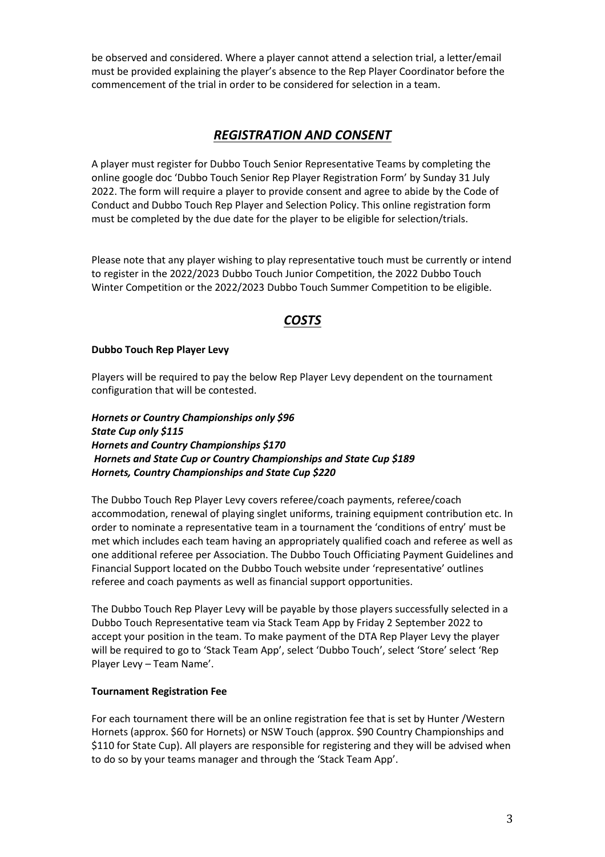be observed and considered. Where a player cannot attend a selection trial, a letter/email must be provided explaining the player's absence to the Rep Player Coordinator before the commencement of the trial in order to be considered for selection in a team.

# *REGISTRATION AND CONSENT*

A player must register for Dubbo Touch Senior Representative Teams by completing the online google doc 'Dubbo Touch Senior Rep Player Registration Form' by Sunday 31 July 2022. The form will require a player to provide consent and agree to abide by the Code of Conduct and Dubbo Touch Rep Player and Selection Policy. This online registration form must be completed by the due date for the player to be eligible for selection/trials.

Please note that any player wishing to play representative touch must be currently or intend to register in the 2022/2023 Dubbo Touch Junior Competition, the 2022 Dubbo Touch Winter Competition or the 2022/2023 Dubbo Touch Summer Competition to be eligible.

# *COSTS*

## **Dubbo Touch Rep Player Levy**

Players will be required to pay the below Rep Player Levy dependent on the tournament configuration that will be contested.

*Hornets or Country Championships only \$96 State Cup only \$115 Hornets and Country Championships \$170 Hornets and State Cup or Country Championships and State Cup \$189 Hornets, Country Championships and State Cup \$220*

The Dubbo Touch Rep Player Levy covers referee/coach payments, referee/coach accommodation, renewal of playing singlet uniforms, training equipment contribution etc. In order to nominate a representative team in a tournament the 'conditions of entry' must be met which includes each team having an appropriately qualified coach and referee as well as one additional referee per Association. The Dubbo Touch Officiating Payment Guidelines and Financial Support located on the Dubbo Touch website under 'representative' outlines referee and coach payments as well as financial support opportunities.

The Dubbo Touch Rep Player Levy will be payable by those players successfully selected in a Dubbo Touch Representative team via Stack Team App by Friday 2 September 2022 to accept your position in the team. To make payment of the DTA Rep Player Levy the player will be required to go to 'Stack Team App', select 'Dubbo Touch', select 'Store' select 'Rep Player Levy – Team Name'.

## **Tournament Registration Fee**

For each tournament there will be an online registration fee that is set by Hunter /Western Hornets (approx. \$60 for Hornets) or NSW Touch (approx. \$90 Country Championships and \$110 for State Cup). All players are responsible for registering and they will be advised when to do so by your teams manager and through the 'Stack Team App'.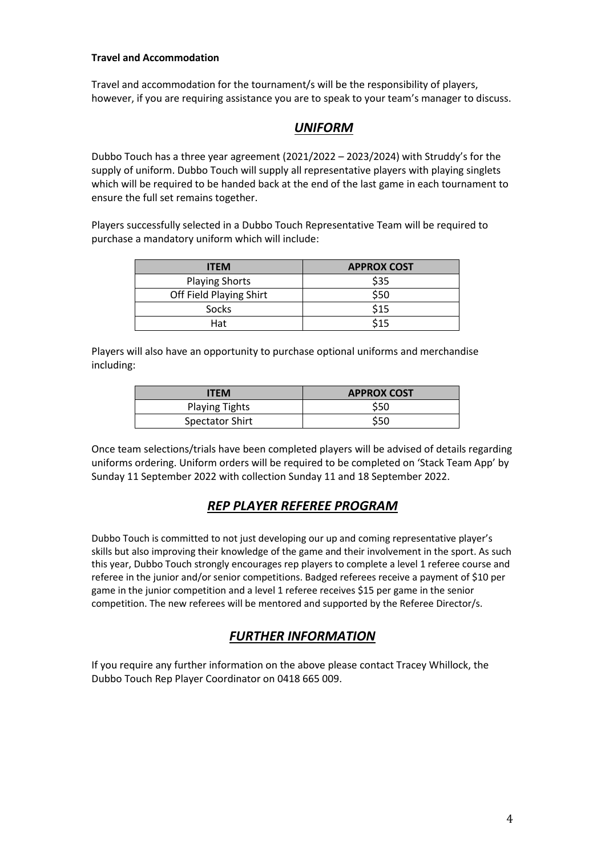## **Travel and Accommodation**

Travel and accommodation for the tournament/s will be the responsibility of players, however, if you are requiring assistance you are to speak to your team's manager to discuss.

# *UNIFORM*

Dubbo Touch has a three year agreement (2021/2022 – 2023/2024) with Struddy's for the supply of uniform. Dubbo Touch will supply all representative players with playing singlets which will be required to be handed back at the end of the last game in each tournament to ensure the full set remains together.

Players successfully selected in a Dubbo Touch Representative Team will be required to purchase a mandatory uniform which will include:

| <b>ITEM</b>             | <b>APPROX COST</b> |
|-------------------------|--------------------|
| <b>Playing Shorts</b>   | \$35               |
| Off Field Playing Shirt | \$50               |
| Socks                   | \$15               |
| Hat                     | \$15               |

Players will also have an opportunity to purchase optional uniforms and merchandise including:

| <b>ITEM</b>           | <b>APPROX COST</b> |
|-----------------------|--------------------|
| <b>Playing Tights</b> | \$50               |
| Spectator Shirt       | \$50               |

Once team selections/trials have been completed players will be advised of details regarding uniforms ordering. Uniform orders will be required to be completed on 'Stack Team App' by Sunday 11 September 2022 with collection Sunday 11 and 18 September 2022.

# *REP PLAYER REFEREE PROGRAM*

Dubbo Touch is committed to not just developing our up and coming representative player's skills but also improving their knowledge of the game and their involvement in the sport. As such this year, Dubbo Touch strongly encourages rep players to complete a level 1 referee course and referee in the junior and/or senior competitions. Badged referees receive a payment of \$10 per game in the junior competition and a level 1 referee receives \$15 per game in the senior competition. The new referees will be mentored and supported by the Referee Director/s.

# *FURTHER INFORMATION*

If you require any further information on the above please contact Tracey Whillock, the Dubbo Touch Rep Player Coordinator on 0418 665 009.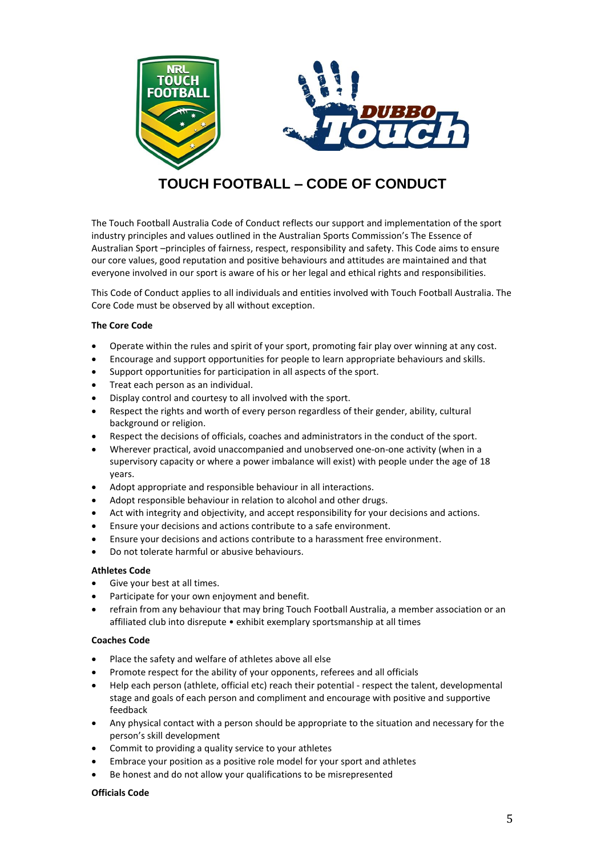

# **TOUCH FOOTBALL – CODE OF CONDUCT**

The Touch Football Australia Code of Conduct reflects our support and implementation of the sport industry principles and values outlined in the Australian Sports Commission's The Essence of Australian Sport –principles of fairness, respect, responsibility and safety. This Code aims to ensure our core values, good reputation and positive behaviours and attitudes are maintained and that everyone involved in our sport is aware of his or her legal and ethical rights and responsibilities.

This Code of Conduct applies to all individuals and entities involved with Touch Football Australia. The Core Code must be observed by all without exception.

#### **The Core Code**

- Operate within the rules and spirit of your sport, promoting fair play over winning at any cost.
- Encourage and support opportunities for people to learn appropriate behaviours and skills.
- Support opportunities for participation in all aspects of the sport.
- Treat each person as an individual.
- Display control and courtesy to all involved with the sport.
- Respect the rights and worth of every person regardless of their gender, ability, cultural background or religion.
- Respect the decisions of officials, coaches and administrators in the conduct of the sport.
- Wherever practical, avoid unaccompanied and unobserved one-on-one activity (when in a supervisory capacity or where a power imbalance will exist) with people under the age of 18 years.
- Adopt appropriate and responsible behaviour in all interactions.
- Adopt responsible behaviour in relation to alcohol and other drugs.
- Act with integrity and objectivity, and accept responsibility for your decisions and actions.
- Ensure your decisions and actions contribute to a safe environment.
- Ensure your decisions and actions contribute to a harassment free environment.
- Do not tolerate harmful or abusive behaviours.

#### **Athletes Code**

- Give your best at all times.
- Participate for your own enjoyment and benefit.
- refrain from any behaviour that may bring Touch Football Australia, a member association or an affiliated club into disrepute • exhibit exemplary sportsmanship at all times

#### **Coaches Code**

- Place the safety and welfare of athletes above all else
- Promote respect for the ability of your opponents, referees and all officials
- Help each person (athlete, official etc) reach their potential respect the talent, developmental stage and goals of each person and compliment and encourage with positive and supportive feedback
- Any physical contact with a person should be appropriate to the situation and necessary for the person's skill development
- Commit to providing a quality service to your athletes
- Embrace your position as a positive role model for your sport and athletes
- Be honest and do not allow your qualifications to be misrepresented

#### **Officials Code**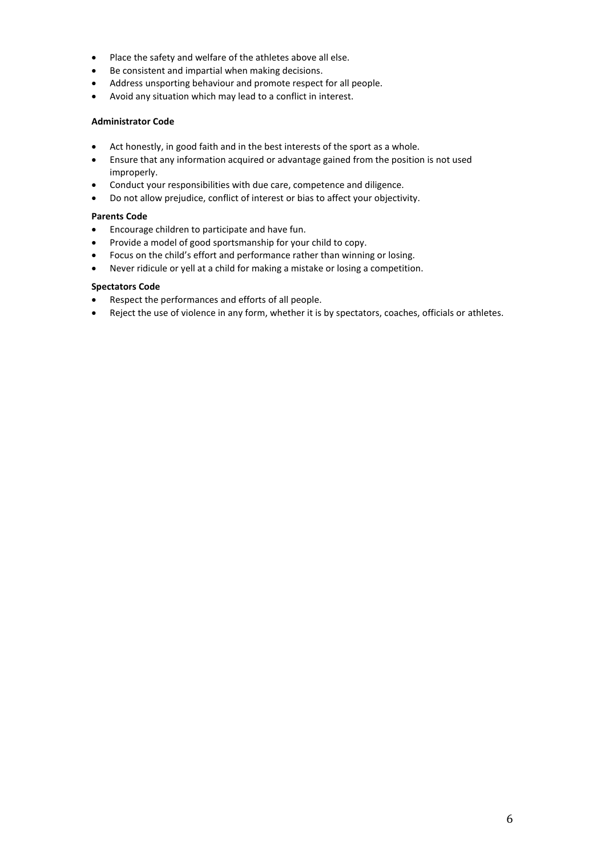- Place the safety and welfare of the athletes above all else.
- Be consistent and impartial when making decisions.
- Address unsporting behaviour and promote respect for all people.
- Avoid any situation which may lead to a conflict in interest.

#### **Administrator Code**

- Act honestly, in good faith and in the best interests of the sport as a whole.
- Ensure that any information acquired or advantage gained from the position is not used improperly.
- Conduct your responsibilities with due care, competence and diligence.
- Do not allow prejudice, conflict of interest or bias to affect your objectivity.

## **Parents Code**

- Encourage children to participate and have fun.
- Provide a model of good sportsmanship for your child to copy.
- Focus on the child's effort and performance rather than winning or losing.
- Never ridicule or yell at a child for making a mistake or losing a competition.

#### **Spectators Code**

- Respect the performances and efforts of all people.
- Reject the use of violence in any form, whether it is by spectators, coaches, officials or athletes.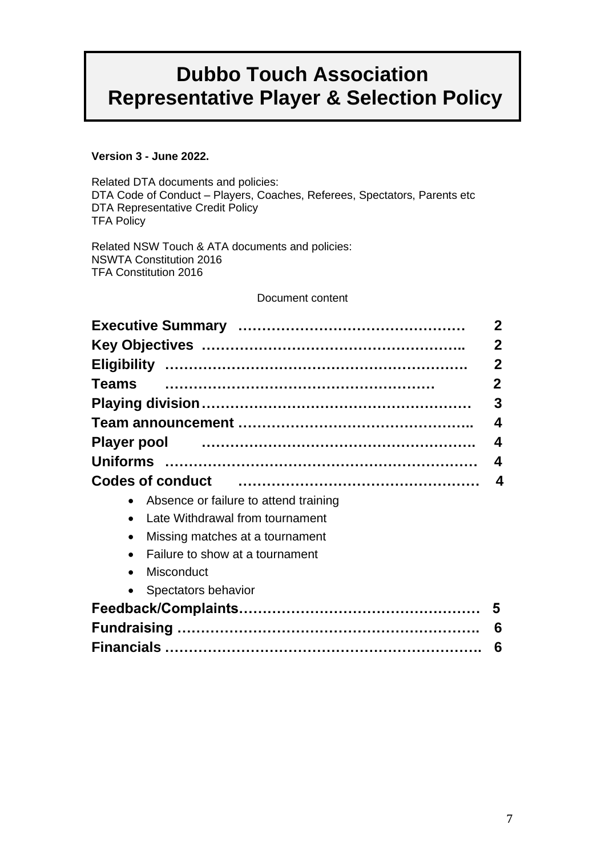# **Dubbo Touch Association Representative Player & Selection Policy**

# **Version 3 - June 2022.**

Related DTA documents and policies: DTA Code of Conduct – Players, Coaches, Referees, Spectators, Parents etc DTA Representative Credit Policy TFA Policy

Related NSW Touch & ATA documents and policies: NSWTA Constitution 2016 TFA Constitution 2016

# Document content

|                                                                   | $\mathbf{2}$ |  |  |
|-------------------------------------------------------------------|--------------|--|--|
|                                                                   | $\mathbf{2}$ |  |  |
|                                                                   | $\mathbf 2$  |  |  |
| <b>Teams</b>                                                      | $\mathbf{2}$ |  |  |
|                                                                   | 3            |  |  |
|                                                                   | 4            |  |  |
| Player pool manufactured and all the manufactured and player pool | 4            |  |  |
|                                                                   | 4            |  |  |
| <b>Codes of conduct</b>                                           | 4            |  |  |
| • Absence or failure to attend training                           |              |  |  |
| Late Withdrawal from tournament                                   |              |  |  |
| Missing matches at a tournament<br>$\bullet$                      |              |  |  |
| Failure to show at a tournament                                   |              |  |  |
| Misconduct<br>$\bullet$                                           |              |  |  |
| • Spectators behavior                                             |              |  |  |
|                                                                   | 5            |  |  |
|                                                                   | 6            |  |  |
|                                                                   | 6            |  |  |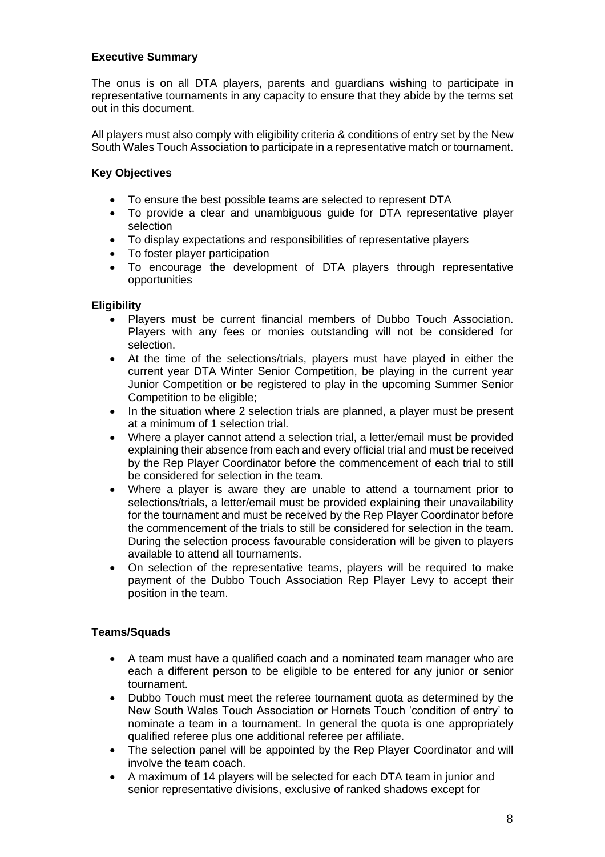# **Executive Summary**

The onus is on all DTA players, parents and guardians wishing to participate in representative tournaments in any capacity to ensure that they abide by the terms set out in this document.

All players must also comply with eligibility criteria & conditions of entry set by the New South Wales Touch Association to participate in a representative match or tournament.

# **Key Objectives**

- To ensure the best possible teams are selected to represent DTA
- To provide a clear and unambiguous guide for DTA representative player selection
- To display expectations and responsibilities of representative players
- To foster player participation
- To encourage the development of DTA players through representative opportunities

# **Eligibility**

- Players must be current financial members of Dubbo Touch Association. Players with any fees or monies outstanding will not be considered for selection.
- At the time of the selections/trials, players must have played in either the current year DTA Winter Senior Competition, be playing in the current year Junior Competition or be registered to play in the upcoming Summer Senior Competition to be eligible;
- In the situation where 2 selection trials are planned, a player must be present at a minimum of 1 selection trial.
- Where a player cannot attend a selection trial, a letter/email must be provided explaining their absence from each and every official trial and must be received by the Rep Player Coordinator before the commencement of each trial to still be considered for selection in the team.
- Where a player is aware they are unable to attend a tournament prior to selections/trials, a letter/email must be provided explaining their unavailability for the tournament and must be received by the Rep Player Coordinator before the commencement of the trials to still be considered for selection in the team. During the selection process favourable consideration will be given to players available to attend all tournaments.
- On selection of the representative teams, players will be required to make payment of the Dubbo Touch Association Rep Player Levy to accept their position in the team.

# **Teams/Squads**

- A team must have a qualified coach and a nominated team manager who are each a different person to be eligible to be entered for any junior or senior tournament.
- Dubbo Touch must meet the referee tournament quota as determined by the New South Wales Touch Association or Hornets Touch 'condition of entry' to nominate a team in a tournament. In general the quota is one appropriately qualified referee plus one additional referee per affiliate.
- The selection panel will be appointed by the Rep Player Coordinator and will involve the team coach.
- A maximum of 14 players will be selected for each DTA team in junior and senior representative divisions, exclusive of ranked shadows except for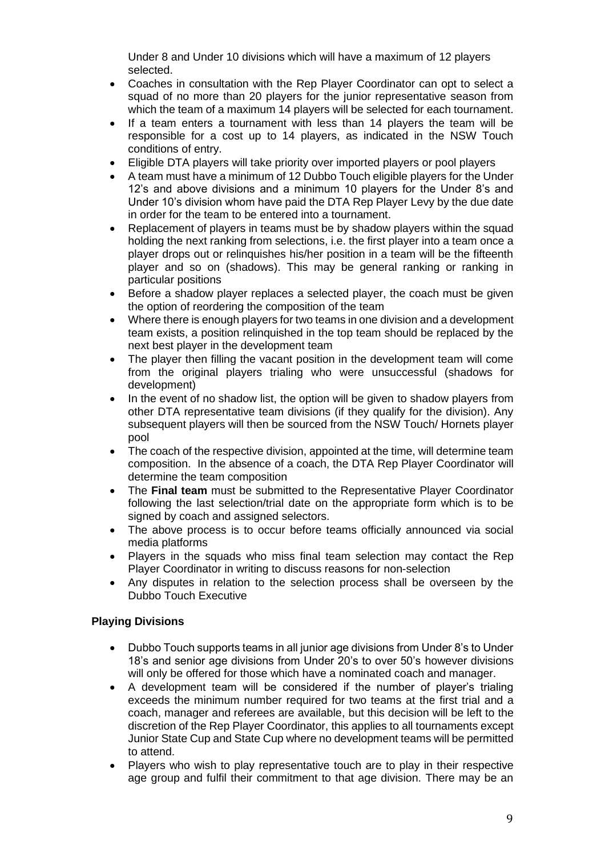Under 8 and Under 10 divisions which will have a maximum of 12 players selected.

- Coaches in consultation with the Rep Player Coordinator can opt to select a squad of no more than 20 players for the junior representative season from which the team of a maximum 14 players will be selected for each tournament.
- If a team enters a tournament with less than 14 players the team will be responsible for a cost up to 14 players, as indicated in the NSW Touch conditions of entry.
- Eligible DTA players will take priority over imported players or pool players
- A team must have a minimum of 12 Dubbo Touch eligible players for the Under 12's and above divisions and a minimum 10 players for the Under 8's and Under 10's division whom have paid the DTA Rep Player Levy by the due date in order for the team to be entered into a tournament.
- Replacement of players in teams must be by shadow players within the squad holding the next ranking from selections, i.e. the first player into a team once a player drops out or relinquishes his/her position in a team will be the fifteenth player and so on (shadows). This may be general ranking or ranking in particular positions
- Before a shadow player replaces a selected player, the coach must be given the option of reordering the composition of the team
- Where there is enough players for two teams in one division and a development team exists, a position relinquished in the top team should be replaced by the next best player in the development team
- The player then filling the vacant position in the development team will come from the original players trialing who were unsuccessful (shadows for development)
- In the event of no shadow list, the option will be given to shadow players from other DTA representative team divisions (if they qualify for the division). Any subsequent players will then be sourced from the NSW Touch/ Hornets player pool
- The coach of the respective division, appointed at the time, will determine team composition. In the absence of a coach, the DTA Rep Player Coordinator will determine the team composition
- The **Final team** must be submitted to the Representative Player Coordinator following the last selection/trial date on the appropriate form which is to be signed by coach and assigned selectors.
- The above process is to occur before teams officially announced via social media platforms
- Players in the squads who miss final team selection may contact the Rep Player Coordinator in writing to discuss reasons for non-selection
- Any disputes in relation to the selection process shall be overseen by the Dubbo Touch Executive

# **Playing Divisions**

- Dubbo Touch supports teams in all junior age divisions from Under 8's to Under 18's and senior age divisions from Under 20's to over 50's however divisions will only be offered for those which have a nominated coach and manager.
- A development team will be considered if the number of player's trialing exceeds the minimum number required for two teams at the first trial and a coach, manager and referees are available, but this decision will be left to the discretion of the Rep Player Coordinator, this applies to all tournaments except Junior State Cup and State Cup where no development teams will be permitted to attend.
- Players who wish to play representative touch are to play in their respective age group and fulfil their commitment to that age division. There may be an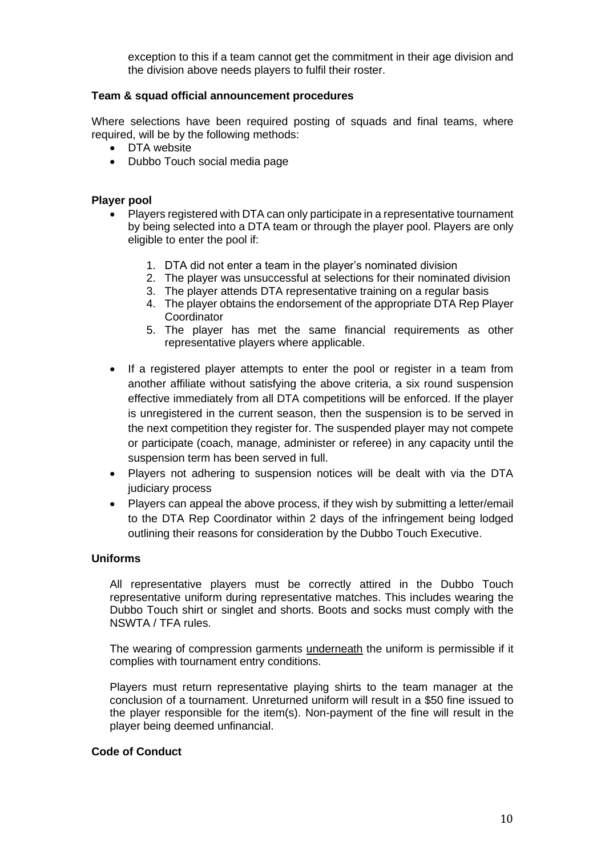exception to this if a team cannot get the commitment in their age division and the division above needs players to fulfil their roster.

## **Team & squad official announcement procedures**

Where selections have been required posting of squads and final teams, where required, will be by the following methods:

- DTA website
- Dubbo Touch social media page

## **Player pool**

- Players registered with DTA can only participate in a representative tournament by being selected into a DTA team or through the player pool. Players are only eligible to enter the pool if:
	- 1. DTA did not enter a team in the player's nominated division
	- 2. The player was unsuccessful at selections for their nominated division
	- 3. The player attends DTA representative training on a regular basis
	- 4. The player obtains the endorsement of the appropriate DTA Rep Player **Coordinator**
	- 5. The player has met the same financial requirements as other representative players where applicable.
- If a registered player attempts to enter the pool or register in a team from another affiliate without satisfying the above criteria, a six round suspension effective immediately from all DTA competitions will be enforced. If the player is unregistered in the current season, then the suspension is to be served in the next competition they register for. The suspended player may not compete or participate (coach, manage, administer or referee) in any capacity until the suspension term has been served in full.
- Players not adhering to suspension notices will be dealt with via the DTA judiciary process
- Players can appeal the above process, if they wish by submitting a letter/email to the DTA Rep Coordinator within 2 days of the infringement being lodged outlining their reasons for consideration by the Dubbo Touch Executive.

# **Uniforms**

All representative players must be correctly attired in the Dubbo Touch representative uniform during representative matches. This includes wearing the Dubbo Touch shirt or singlet and shorts. Boots and socks must comply with the NSWTA / TFA rules.

The wearing of compression garments **underneath** the uniform is permissible if it complies with tournament entry conditions.

Players must return representative playing shirts to the team manager at the conclusion of a tournament. Unreturned uniform will result in a \$50 fine issued to the player responsible for the item(s). Non-payment of the fine will result in the player being deemed unfinancial.

## **Code of Conduct**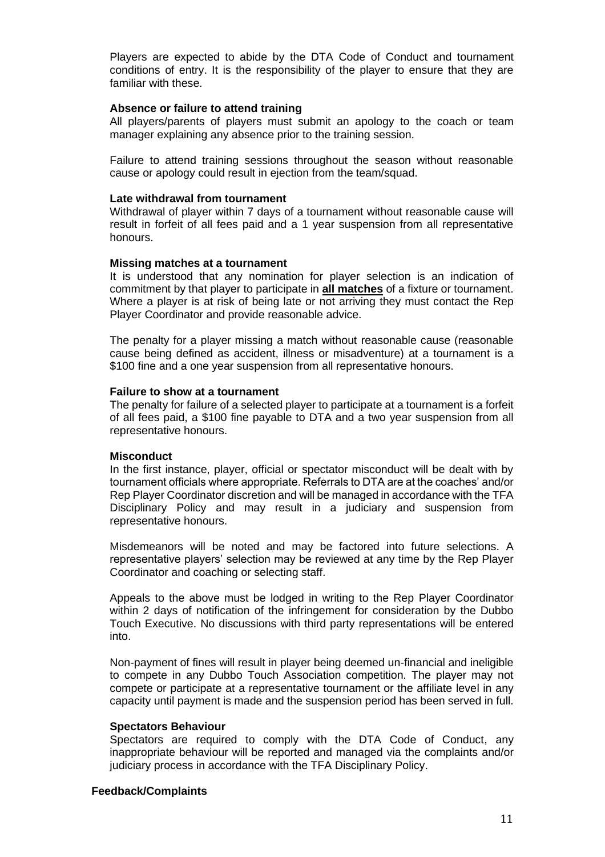Players are expected to abide by the DTA Code of Conduct and tournament conditions of entry. It is the responsibility of the player to ensure that they are familiar with these.

#### **Absence or failure to attend training**

All players/parents of players must submit an apology to the coach or team manager explaining any absence prior to the training session.

Failure to attend training sessions throughout the season without reasonable cause or apology could result in ejection from the team/squad.

#### **Late withdrawal from tournament**

Withdrawal of player within 7 days of a tournament without reasonable cause will result in forfeit of all fees paid and a 1 year suspension from all representative honours.

#### **Missing matches at a tournament**

It is understood that any nomination for player selection is an indication of commitment by that player to participate in **all matches** of a fixture or tournament. Where a player is at risk of being late or not arriving they must contact the Rep Player Coordinator and provide reasonable advice.

The penalty for a player missing a match without reasonable cause (reasonable cause being defined as accident, illness or misadventure) at a tournament is a \$100 fine and a one year suspension from all representative honours.

#### **Failure to show at a tournament**

The penalty for failure of a selected player to participate at a tournament is a forfeit of all fees paid, a \$100 fine payable to DTA and a two year suspension from all representative honours.

## **Misconduct**

In the first instance, player, official or spectator misconduct will be dealt with by tournament officials where appropriate. Referrals to DTA are at the coaches' and/or Rep Player Coordinator discretion and will be managed in accordance with the TFA Disciplinary Policy and may result in a judiciary and suspension from representative honours.

Misdemeanors will be noted and may be factored into future selections. A representative players' selection may be reviewed at any time by the Rep Player Coordinator and coaching or selecting staff.

Appeals to the above must be lodged in writing to the Rep Player Coordinator within 2 days of notification of the infringement for consideration by the Dubbo Touch Executive. No discussions with third party representations will be entered into.

Non-payment of fines will result in player being deemed un-financial and ineligible to compete in any Dubbo Touch Association competition. The player may not compete or participate at a representative tournament or the affiliate level in any capacity until payment is made and the suspension period has been served in full.

## **Spectators Behaviour**

Spectators are required to comply with the DTA Code of Conduct, any inappropriate behaviour will be reported and managed via the complaints and/or judiciary process in accordance with the TFA Disciplinary Policy.

## **Feedback/Complaints**